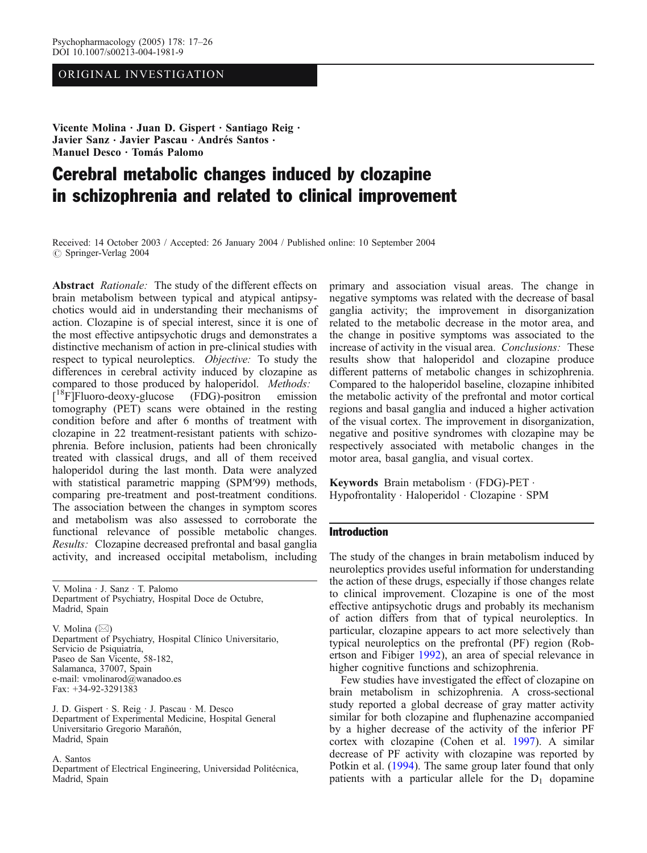## ORIGINAL INVESTIGATION

Vicente Molina · Juan D. Gispert · Santiago Reig · Javier Sanz · Javier Pascau · Andrés Santos · Manuel Desco . Tomás Palomo

# Cerebral metabolic changes induced by clozapine in schizophrenia and related to clinical improvement

Received: 14 October 2003 / Accepted: 26 January 2004 / Published online: 10 September 2004 *#* Springer-Verlag 2004

Abstract Rationale: The study of the different effects on brain metabolism between typical and atypical antipsychotics would aid in understanding their mechanisms of action. Clozapine is of special interest, since it is one of the most effective antipsychotic drugs and demonstrates a distinctive mechanism of action in pre-clinical studies with respect to typical neuroleptics. Objective: To study the differences in cerebral activity induced by clozapine as compared to those produced by haloperidol. Methods: [ 18F]Fluoro-deoxy-glucose (FDG)-positron emission tomography (PET) scans were obtained in the resting condition before and after 6 months of treatment with clozapine in 22 treatment-resistant patients with schizophrenia. Before inclusion, patients had been chronically treated with classical drugs, and all of them received haloperidol during the last month. Data were analyzed with statistical parametric mapping (SPM'99) methods, comparing pre-treatment and post-treatment conditions. The association between the changes in symptom scores and metabolism was also assessed to corroborate the functional relevance of possible metabolic changes. Results: Clozapine decreased prefrontal and basal ganglia activity, and increased occipital metabolism, including

V. Molina . J. Sanz . T. Palomo Department of Psychiatry, Hospital Doce de Octubre, Madrid, Spain

V. Molina  $(\boxtimes)$ Department of Psychiatry, Hospital Clínico Universitario, Servicio de Psiquiatría, Paseo de San Vicente, 58-182, Salamanca, 37007, Spain e-mail: vmolinarod@wanadoo.es Fax: +34-92-3291383

J. D. Gispert . S. Reig . J. Pascau . M. Desco Department of Experimental Medicine, Hospital General Universitario Gregorio Marañón, Madrid, Spain

A. Santos

Department of Electrical Engineering, Universidad Politécnica, Madrid, Spain

primary and association visual areas. The change in negative symptoms was related with the decrease of basal ganglia activity; the improvement in disorganization related to the metabolic decrease in the motor area, and the change in positive symptoms was associated to the increase of activity in the visual area. *Conclusions*: These results show that haloperidol and clozapine produce different patterns of metabolic changes in schizophrenia. Compared to the haloperidol baseline, clozapine inhibited the metabolic activity of the prefrontal and motor cortical regions and basal ganglia and induced a higher activation of the visual cortex. The improvement in disorganization, negative and positive syndromes with clozapìne may be respectively associated with metabolic changes in the motor area, basal ganglia, and visual cortex.

**Keywords** Brain metabolism  $\cdot$  (FDG)-PET  $\cdot$ Hypofrontality . Haloperidol . Clozapine . SPM

## Introduction

The study of the changes in brain metabolism induced by neuroleptics provides useful information for understanding the action of these drugs, especially if those changes relate to clinical improvement. Clozapine is one of the most effective antipsychotic drugs and probably its mechanism of action differs from that of typical neuroleptics. In particular, clozapine appears to act more selectively than typical neuroleptics on the prefrontal (PF) region (Robertson and Fibiger [1992](#page-9-0)), an area of special relevance in higher cognitive functions and schizophrenia.

Few studies have investigated the effect of clozapine on brain metabolism in schizophrenia. A cross-sectional study reported a global decrease of gray matter activity similar for both clozapine and fluphenazine accompanied by a higher decrease of the activity of the inferior PF cortex with clozapine (Cohen et al. [1997\)](#page-8-0). A similar decrease of PF activity with clozapine was reported by Potkin et al. [\(1994](#page-9-0)). The same group later found that only patients with a particular allele for the  $D_1$  dopamine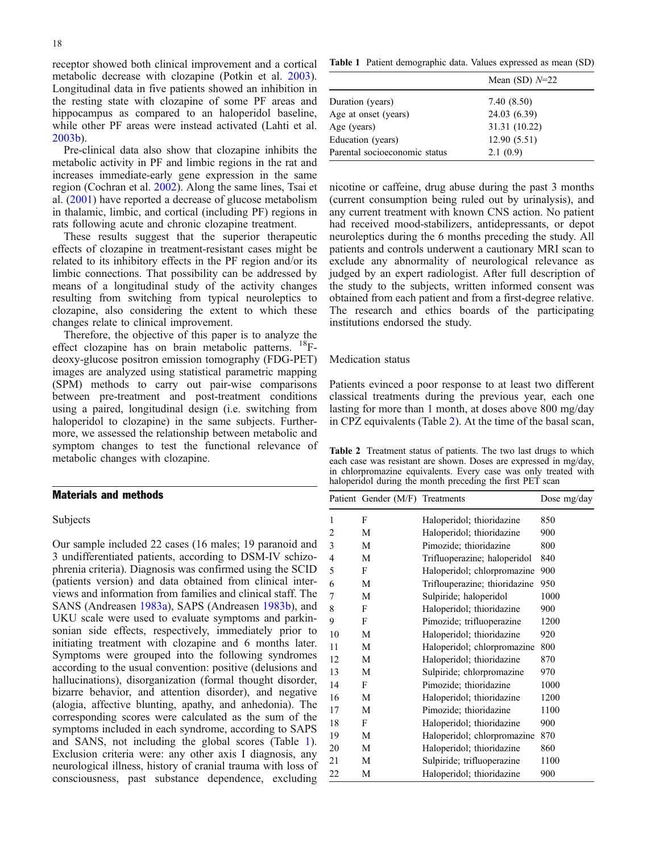receptor showed both clinical improvement and a cortical metabolic decrease with clozapine (Potkin et al. [2003\)](#page-9-0). Longitudinal data in five patients showed an inhibition in the resting state with clozapine of some PF areas and hippocampus as compared to an haloperidol baseline, while other PF areas were instead activated (Lahti et al. [2003b](#page-8-0)).

Pre-clinical data also show that clozapine inhibits the metabolic activity in PF and limbic regions in the rat and increases immediate-early gene expression in the same region (Cochran et al. [2002\)](#page-8-0). Along the same lines, Tsai et al. ([2001](#page-9-0)) have reported a decrease of glucose metabolism in thalamic, limbic, and cortical (including PF) regions in rats following acute and chronic clozapine treatment.

These results suggest that the superior therapeutic effects of clozapine in treatment-resistant cases might be related to its inhibitory effects in the PF region and/or its limbic connections. That possibility can be addressed by means of a longitudinal study of the activity changes resulting from switching from typical neuroleptics to clozapine, also considering the extent to which these changes relate to clinical improvement.

Therefore, the objective of this paper is to analyze the effect clozapine has on brain metabolic patterns. <sup>18</sup>Fdeoxy-glucose positron emission tomography (FDG-PET) images are analyzed using statistical parametric mapping (SPM) methods to carry out pair-wise comparisons between pre-treatment and post-treatment conditions using a paired, longitudinal design (i.e. switching from haloperidol to clozapine) in the same subjects. Furthermore, we assessed the relationship between metabolic and symptom changes to test the functional relevance of metabolic changes with clozapine.

#### Materials and methods

#### Subjects

Our sample included 22 cases (16 males; 19 paranoid and 3 undifferentiated patients, according to DSM-IV schizophrenia criteria). Diagnosis was confirmed using the SCID (patients version) and data obtained from clinical interviews and information from families and clinical staff. The SANS (Andreasen [1983a](#page-8-0)), SAPS (Andreasen [1983b\)](#page-8-0), and UKU scale were used to evaluate symptoms and parkinsonian side effects, respectively, immediately prior to initiating treatment with clozapine and 6 months later. Symptoms were grouped into the following syndromes according to the usual convention: positive (delusions and hallucinations), disorganization (formal thought disorder, bizarre behavior, and attention disorder), and negative (alogia, affective blunting, apathy, and anhedonia). The corresponding scores were calculated as the sum of the symptoms included in each syndrome, according to SAPS and SANS, not including the global scores (Table 1). Exclusion criteria were: any other axis I diagnosis, any neurological illness, history of cranial trauma with loss of consciousness, past substance dependence, excluding

Table 1 Patient demographic data. Values expressed as mean (SD)

|                               | Mean (SD) $N=22$ |  |  |
|-------------------------------|------------------|--|--|
| Duration (years)              | 7.40(8.50)       |  |  |
| Age at onset (years)          | 24.03 (6.39)     |  |  |
| Age (years)                   | 31.31 (10.22)    |  |  |
| Education (years)             | 12.90(5.51)      |  |  |
| Parental socioeconomic status | 2.1(0.9)         |  |  |

nicotine or caffeine, drug abuse during the past 3 months (current consumption being ruled out by urinalysis), and any current treatment with known CNS action. No patient had received mood-stabilizers, antidepressants, or depot neuroleptics during the 6 months preceding the study. All patients and controls underwent a cautionary MRI scan to exclude any abnormality of neurological relevance as judged by an expert radiologist. After full description of the study to the subjects, written informed consent was obtained from each patient and from a first-degree relative. The research and ethics boards of the participating institutions endorsed the study.

### Medication status

Patients evinced a poor response to at least two different classical treatments during the previous year, each one lasting for more than 1 month, at doses above 800 mg/day in CPZ equivalents (Table 2). At the time of the basal scan,

Table 2 Treatment status of patients. The two last drugs to which each case was resistant are shown. Doses are expressed in mg/day, in chlorpromazine equivalents. Every case was only treated with haloperidol during the month preceding the first PET scan

|                | Patient Gender (M/F) Treatments |                               | Dose $mg/day$ |
|----------------|---------------------------------|-------------------------------|---------------|
| 1              | F                               | Haloperidol; thioridazine     | 850           |
| $\overline{2}$ | М                               | Haloperidol; thioridazine     | 900           |
| 3              | М                               | Pimozide; thioridazine        | 800           |
| 4              | М                               | Trifluoperazine; haloperidol  | 840           |
| 5              | F                               | Haloperidol; chlorpromazine   | 900           |
| 6              | М                               | Triflouperazine; thioridazine | 950           |
| 7              | М                               | Sulpiride; haloperidol        | 1000          |
| 8              | F                               | Haloperidol; thioridazine     | 900           |
| 9              | F                               | Pimozide; trifluoperazine     | 1200          |
| 10             | M                               | Haloperidol; thioridazine     | 920           |
| 11             | М                               | Haloperidol; chlorpromazine   | 800           |
| 12             | М                               | Haloperidol; thioridazine     | 870           |
| 13             | M                               | Sulpiride; chlorpromazine     | 970           |
| 14             | F                               | Pimozide; thioridazine        | 1000          |
| 16             | М                               | Haloperidol; thioridazine     | 1200          |
| 17             | М                               | Pimozide; thioridazine        | 1100          |
| 18             | F                               | Haloperidol; thioridazine     | 900           |
| 19             | М                               | Haloperidol; chlorpromazine   | 870           |
| 20             | M                               | Haloperidol; thioridazine     | 860           |
| 21             | М                               | Sulpiride; trifluoperazine    | 1100          |
| 22             | М                               | Haloperidol; thioridazine     | 900           |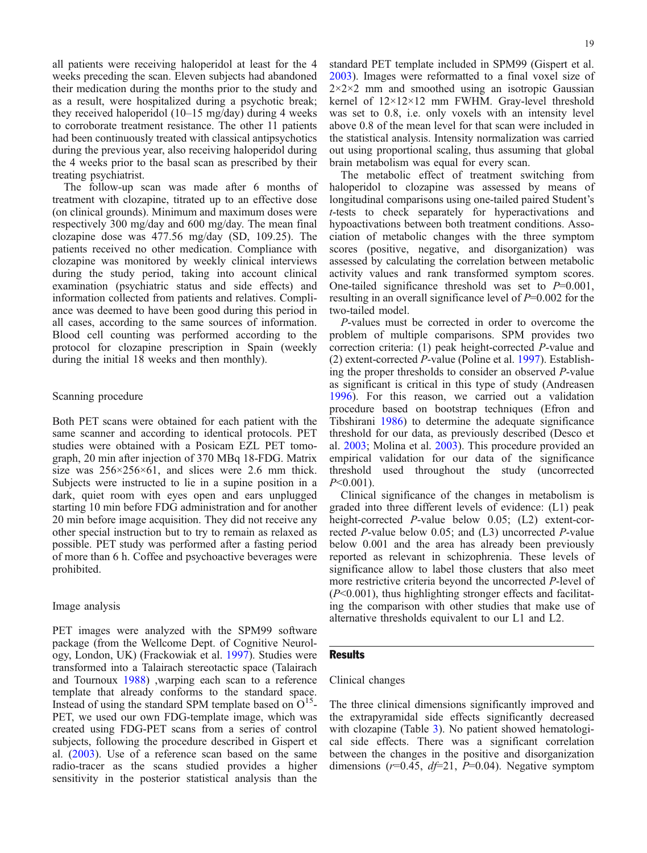all patients were receiving haloperidol at least for the 4 weeks preceding the scan. Eleven subjects had abandoned their medication during the months prior to the study and as a result, were hospitalized during a psychotic break; they received haloperidol (10–15 mg/day) during 4 weeks to corroborate treatment resistance. The other 11 patients had been continuously treated with classical antipsychotics during the previous year, also receiving haloperidol during the 4 weeks prior to the basal scan as prescribed by their treating psychiatrist.

The follow-up scan was made after 6 months of treatment with clozapine, titrated up to an effective dose (on clinical grounds). Minimum and maximum doses were respectively 300 mg/day and 600 mg/day. The mean final clozapine dose was 477.56 mg/day (SD, 109.25). The patients received no other medication. Compliance with clozapine was monitored by weekly clinical interviews during the study period, taking into account clinical examination (psychiatric status and side effects) and information collected from patients and relatives. Compliance was deemed to have been good during this period in all cases, according to the same sources of information. Blood cell counting was performed according to the protocol for clozapine prescription in Spain (weekly during the initial 18 weeks and then monthly).

## Scanning procedure

Both PET scans were obtained for each patient with the same scanner and according to identical protocols. PET studies were obtained with a Posicam EZL PET tomograph, 20 min after injection of 370 MBq 18-FDG. Matrix size was  $256 \times 256 \times 61$ , and slices were 2.6 mm thick. Subjects were instructed to lie in a supine position in a dark, quiet room with eyes open and ears unplugged starting 10 min before FDG administration and for another 20 min before image acquisition. They did not receive any other special instruction but to try to remain as relaxed as possible. PET study was performed after a fasting period of more than 6 h. Coffee and psychoactive beverages were prohibited.

#### Image analysis

PET images were analyzed with the SPM99 software package (from the Wellcome Dept. of Cognitive Neurology, London, UK) (Frackowiak et al. [1997](#page-8-0)). Studies were transformed into a Talairach stereotactic space (Talairach and Tournoux [1988](#page-9-0)) ,warping each scan to a reference template that already conforms to the standard space. Instead of using the standard SPM template based on  $O<sup>15</sup>$ -PET, we used our own FDG-template image, which was created using FDG-PET scans from a series of control subjects, following the procedure described in Gispert et al. ([2003](#page-8-0)). Use of a reference scan based on the same radio-tracer as the scans studied provides a higher sensitivity in the posterior statistical analysis than the

standard PET template included in SPM99 (Gispert et al. [2003](#page-8-0)). Images were reformatted to a final voxel size of  $2 \times 2 \times 2$  mm and smoothed using an isotropic Gaussian kernel of 12×12×12 mm FWHM. Gray-level threshold was set to 0.8, i.e. only voxels with an intensity level above 0.8 of the mean level for that scan were included in the statistical analysis. Intensity normalization was carried out using proportional scaling, thus assuming that global brain metabolism was equal for every scan.

The metabolic effect of treatment switching from haloperidol to clozapine was assessed by means of longitudinal comparisons using one-tailed paired Student's t-tests to check separately for hyperactivations and hypoactivations between both treatment conditions. Association of metabolic changes with the three symptom scores (positive, negative, and disorganization) was assessed by calculating the correlation between metabolic activity values and rank transformed symptom scores. One-tailed significance threshold was set to  $P=0.001$ , resulting in an overall significance level of  $P=0.002$  for the two-tailed model.

P-values must be corrected in order to overcome the problem of multiple comparisons. SPM provides two correction criteria: (1) peak height-corrected P-value and (2) extent-corrected P-value (Poline et al. [1997](#page-9-0)). Establishing the proper thresholds to consider an observed P-value as significant is critical in this type of study (Andreasen [1996](#page-8-0)). For this reason, we carried out a validation procedure based on bootstrap techniques (Efron and Tibshirani [1986](#page-8-0)) to determine the adequate significance threshold for our data, as previously described (Desco et al. [2003](#page-8-0); Molina et al. [2003\)](#page-8-0). This procedure provided an empirical validation for our data of the significance threshold used throughout the study (uncorrected  $P<0.001$ ).

Clinical significance of the changes in metabolism is graded into three different levels of evidence: (L1) peak height-corrected P-value below 0.05; (L2) extent-corrected P-value below 0.05; and (L3) uncorrected P-value below 0.001 and the area has already been previously reported as relevant in schizophrenia. These levels of significance allow to label those clusters that also meet more restrictive criteria beyond the uncorrected P-level of  $(P<0.001)$ , thus highlighting stronger effects and facilitating the comparison with other studies that make use of alternative thresholds equivalent to our L1 and L2.

#### **Results**

## Clinical changes

The three clinical dimensions significantly improved and the extrapyramidal side effects significantly decreased with clozapine (Table [3\)](#page-3-0). No patient showed hematological side effects. There was a significant correlation between the changes in the positive and disorganization dimensions ( $r=0.45$ ,  $df=21$ ,  $P=0.04$ ). Negative symptom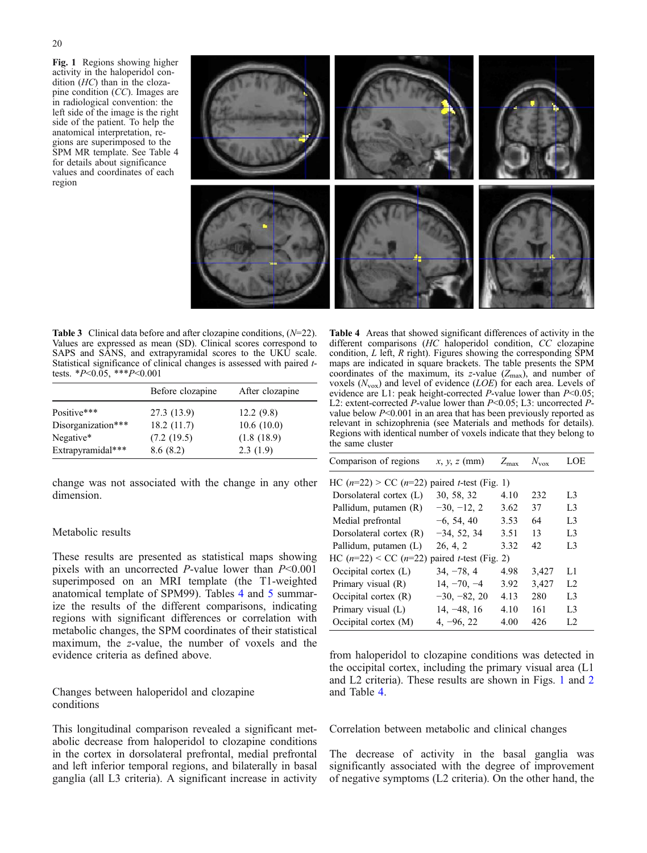<span id="page-3-0"></span>Fig. 1 Regions showing higher activity in the haloperidol condition  $(HC)$  than in the clozapine condition (CC). Images are in radiological convention: the left side of the image is the right side of the patient. To help the anatomical interpretation, regions are superimposed to the SPM MR template. See Table 4 for details about significance values and coordinates of each region



Table 3 Clinical data before and after clozapine conditions,  $(N=22)$ . Values are expressed as mean (SD). Clinical scores correspond to SAPS and SANS, and extrapyramidal scores to the UKU scale. Statistical significance of clinical changes is assessed with paired ttests.  $*P<0.05$ ,  $**P<0.001$ 

|                    | Before clozapine | After clozapine |
|--------------------|------------------|-----------------|
| Positive***        | 27.3 (13.9)      | 12.2(9.8)       |
| Disorganization*** | 18.2(11.7)       | 10.6(10.0)      |
| Negative*          | (7.2(19.5))      | (1.8(18.9))     |
| Extrapyramidal***  | 8.6(8.2)         | 2.3(1.9)        |

change was not associated with the change in any other dimension.

#### Metabolic results

These results are presented as statistical maps showing pixels with an uncorrected  $P$ -value lower than  $P \le 0.001$ superimposed on an MRI template (the T1-weighted anatomical template of SPM99). Tables 4 and [5](#page-4-0) summarize the results of the different comparisons, indicating regions with significant differences or correlation with metabolic changes, the SPM coordinates of their statistical maximum, the z-value, the number of voxels and the evidence criteria as defined above.

## Changes between haloperidol and clozapine conditions

This longitudinal comparison revealed a significant metabolic decrease from haloperidol to clozapine conditions in the cortex in dorsolateral prefrontal, medial prefrontal and left inferior temporal regions, and bilaterally in basal ganglia (all L3 criteria). A significant increase in activity

Table 4 Areas that showed significant differences of activity in the different comparisons (HC haloperidol condition, CC clozapine condition, L left, R right). Figures showing the corresponding SPM maps are indicated in square brackets. The table presents the SPM coordinates of the maximum, its z-value  $(Z_{\text{max}})$ , and number of voxels  $(N_{\text{vox}})$  and level of evidence (*LOE*) for each area. Levels of evidence are L1: peak height-corrected  $P$ -value lower than  $P \le 0.05$ ; L2: extent-corrected *P*-value lower than  $P<0.05$ ; L3: uncorrected *P*value below  $P<0.001$  in an area that has been previously reported as relevant in schizophrenia (see Materials and methods for details). Regions with identical number of voxels indicate that they belong to the same cluster

| Comparison of regions                                    | $x, y, z$ (mm) | $Z_{\rm max}$ | $N_{\rm vox}$ | LOE            |  |  |
|----------------------------------------------------------|----------------|---------------|---------------|----------------|--|--|
| HC $(n=22) > CC$ $(n=22)$ paired <i>t</i> -test (Fig. 1) |                |               |               |                |  |  |
| Dorsolateral cortex (L)                                  | 30, 58, 32     | 4.10          | 232           | L <sub>3</sub> |  |  |
| Pallidum, putamen (R)                                    | $-30, -12, 2$  | 3.62          | 37            | L <sub>3</sub> |  |  |
| Medial prefrontal                                        | $-6, 54, 40$   | 3.53          | 64            | L <sub>3</sub> |  |  |
| Dorsolateral cortex (R)                                  | $-34, 52, 34$  | 3.51          | 13            | L <sub>3</sub> |  |  |
| Pallidum, putamen (L)                                    | 26, 4, 2       | 3.32          | 42            | L <sub>3</sub> |  |  |
| HC $(n=22)$ < CC $(n=22)$ paired <i>t</i> -test (Fig. 2) |                |               |               |                |  |  |
| Occipital cortex $(L)$                                   | $34, -78, 4$   | 4.98          | 3,427         | L1             |  |  |
| Primary visual (R)                                       | $14, -70, -4$  | 3.92          | 3,427         | L <sub>2</sub> |  |  |
| Occipital cortex $(R)$                                   | $-30, -82, 20$ | 4.13          | 280           | L3             |  |  |
| Primary visual (L)                                       | $14, -48, 16$  | 4.10          | 161           | L <sub>3</sub> |  |  |
| Occipital cortex (M)                                     | $4, -96, 22$   | 4.00          | 426           | L2             |  |  |

from haloperidol to clozapine conditions was detected in the occipital cortex, including the primary visual area (L1 and L2 criteria). These results are shown in Figs. 1 and [2](#page-4-0) and Table 4.

Correlation between metabolic and clinical changes

The decrease of activity in the basal ganglia was significantly associated with the degree of improvement of negative symptoms (L2 criteria). On the other hand, the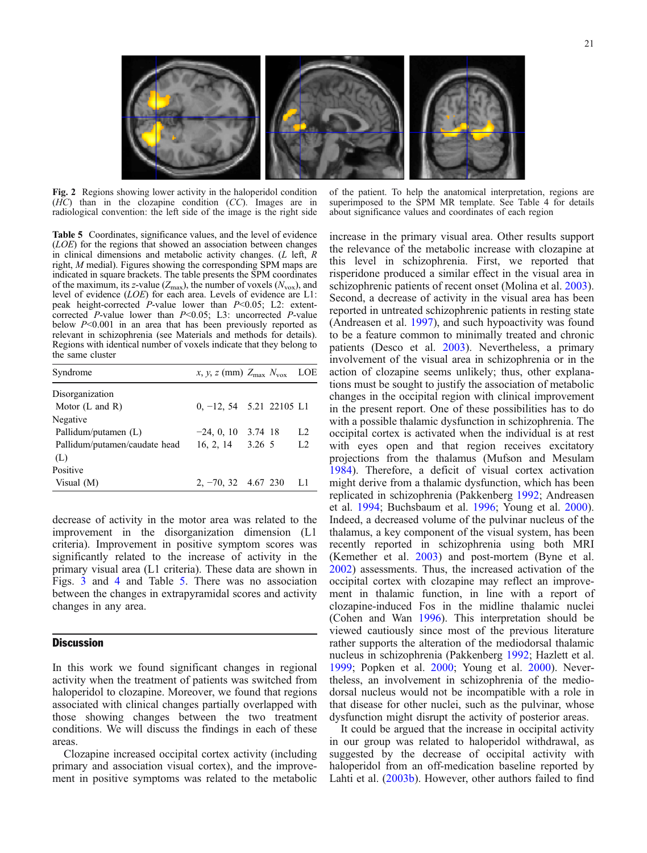<span id="page-4-0"></span>

Fig. 2 Regions showing lower activity in the haloperidol condition  $(H\overline{C})$  than in the clozapine condition  $(CC)$ . Images are in radiological convention: the left side of the image is the right side

Table 5 Coordinates, significance values, and the level of evidence (LOE) for the regions that showed an association between changes in clinical dimensions and metabolic activity changes. (L left, R right, M medial). Figures showing the corresponding SPM maps are indicated in square brackets. The table presents the SPM coordinates of the maximum, its z-value ( $Z_{\text{max}}$ ), the number of voxels ( $N_{\text{vox}}$ ), and level of evidence (LOE) for each area. Levels of evidence are L1: peak height-corrected  $P$ -value lower than  $P < 0.05$ ; L2: extentcorrected  $\overline{P}$ -value lower than  $P \le 0.05$ ; L3: uncorrected  $\overline{P}$ -value below  $P<0.001$  in an area that has been previously reported as relevant in schizophrenia (see Materials and methods for details). Regions with identical number of voxels indicate that they belong to the same cluster

| Syndrome                      | x, y, z (mm) $Z_{\text{max}}$ $N_{\text{vox}}$ LOE |  |                |
|-------------------------------|----------------------------------------------------|--|----------------|
| Disorganization               |                                                    |  |                |
| Motor $(L \text{ and } R)$    | $0, -12, 54$ 5.21 22105 L1                         |  |                |
| Negative                      |                                                    |  |                |
| Pallidum/putamen $(L)$        | $-24, 0, 10$ 3.74 18                               |  | L <sub>2</sub> |
| Pallidum/putamen/caudate head | $16, 2, 14$ 3.26 5                                 |  | L2             |
| (L)                           |                                                    |  |                |
| Positive                      |                                                    |  |                |
| Visual $(M)$                  | $2, -70, 32, 4.67, 230$                            |  | L1             |

decrease of activity in the motor area was related to the improvement in the disorganization dimension (L1 criteria). Improvement in positive symptom scores was significantly related to the increase of activity in the primary visual area (L1 criteria). These data are shown in Figs. [3](#page-5-0) and [4](#page-6-0) and Table 5. There was no association between the changes in extrapyramidal scores and activity changes in any area.

## **Discussion**

In this work we found significant changes in regional activity when the treatment of patients was switched from haloperidol to clozapine. Moreover, we found that regions associated with clinical changes partially overlapped with those showing changes between the two treatment conditions. We will discuss the findings in each of these areas.

Clozapine increased occipital cortex activity (including primary and association visual cortex), and the improvement in positive symptoms was related to the metabolic

of the patient. To help the anatomical interpretation, regions are superimposed to the SPM MR template. See Table 4 for details about significance values and coordinates of each region

increase in the primary visual area. Other results support the relevance of the metabolic increase with clozapine at this level in schizophrenia. First, we reported that risperidone produced a similar effect in the visual area in schizophrenic patients of recent onset (Molina et al. [2003](#page-8-0)). Second, a decrease of activity in the visual area has been reported in untreated schizophrenic patients in resting state (Andreasen et al. [1997\)](#page-8-0), and such hypoactivity was found to be a feature common to minimally treated and chronic patients (Desco et al. [2003\)](#page-8-0). Nevertheless, a primary involvement of the visual area in schizophrenia or in the action of clozapine seems unlikely; thus, other explanations must be sought to justify the association of metabolic changes in the occipital region with clinical improvement in the present report. One of these possibilities has to do with a possible thalamic dysfunction in schizophrenia. The occipital cortex is activated when the individual is at rest with eyes open and that region receives excitatory projections from the thalamus (Mufson and Mesulam [1984](#page-9-0)). Therefore, a deficit of visual cortex activation might derive from a thalamic dysfunction, which has been replicated in schizophrenia (Pakkenberg [1992](#page-9-0); Andreasen et al. [1994;](#page-8-0) Buchsbaum et al. [1996](#page-8-0); Young et al. [2000](#page-9-0)). Indeed, a decreased volume of the pulvinar nucleus of the thalamus, a key component of the visual system, has been recently reported in schizophrenia using both MRI (Kemether et al. [2003](#page-8-0)) and post-mortem (Byne et al. [2002](#page-8-0)) assessments. Thus, the increased activation of the occipital cortex with clozapine may reflect an improvement in thalamic function, in line with a report of clozapine-induced Fos in the midline thalamic nuclei (Cohen and Wan [1996](#page-8-0)). This interpretation should be viewed cautiously since most of the previous literature rather supports the alteration of the mediodorsal thalamic nucleus in schizophrenia (Pakkenberg [1992](#page-9-0); Hazlett et al. [1999](#page-8-0); Popken et al. [2000;](#page-9-0) Young et al. [2000](#page-9-0)). Nevertheless, an involvement in schizophrenia of the mediodorsal nucleus would not be incompatible with a role in that disease for other nuclei, such as the pulvinar, whose dysfunction might disrupt the activity of posterior areas.

It could be argued that the increase in occipital activity in our group was related to haloperidol withdrawal, as suggested by the decrease of occipital activity with haloperidol from an off-medication baseline reported by Lahti et al. ([2003b\)](#page-8-0). However, other authors failed to find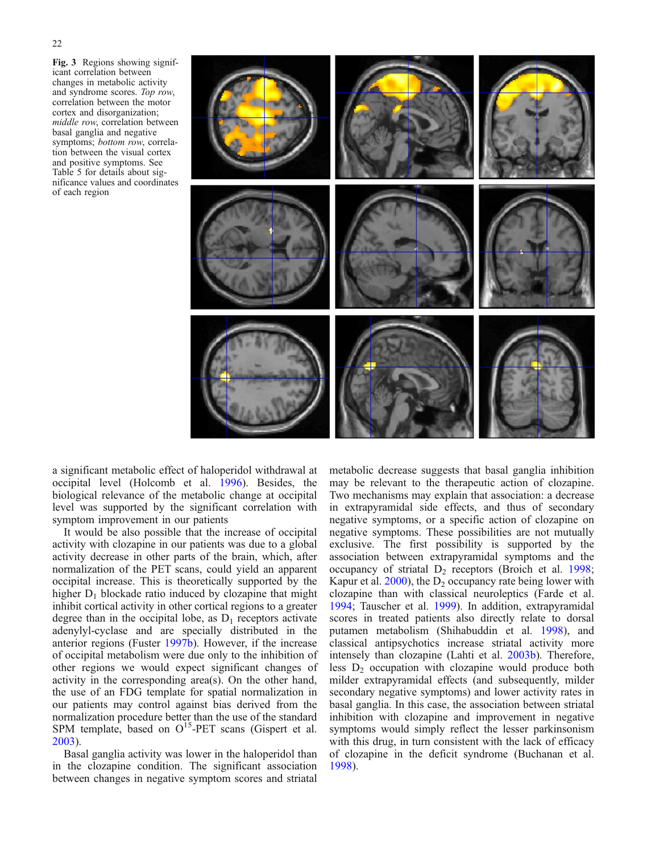<span id="page-5-0"></span>Fig. 3 Regions showing significant correlation between changes in metabolic activity and syndrome scores. Top row, correlation between the motor cortex and disorganization; middle row, correlation between basal ganglia and negative symptoms; bottom row, correlation between the visual cortex and positive symptoms. See Table 5 for details about significance values and coordinates of each region



a significant metabolic effect of haloperidol withdrawal at occipital level (Holcomb et al. [1996\)](#page-8-0). Besides, the biological relevance of the metabolic change at occipital level was supported by the significant correlation with symptom improvement in our patients

It would be also possible that the increase of occipital activity with clozapine in our patients was due to a global activity decrease in other parts of the brain, which, after normalization of the PET scans, could yield an apparent occipital increase. This is theoretically supported by the higher  $D_1$  blockade ratio induced by clozapine that might inhibit cortical activity in other cortical regions to a greater degree than in the occipital lobe, as  $D_1$  receptors activate adenylyl-cyclase and are specially distributed in the anterior regions (Fuster [1997b\)](#page-8-0). However, if the increase of occipital metabolism were due only to the inhibition of other regions we would expect significant changes of activity in the corresponding area(s). On the other hand, the use of an FDG template for spatial normalization in our patients may control against bias derived from the normalization procedure better than the use of the standard SPM template, based on  $O<sup>15</sup>$ -PET scans (Gispert et al. [2003](#page-8-0)).

Basal ganglia activity was lower in the haloperidol than in the clozapine condition. The significant association between changes in negative symptom scores and striatal

metabolic decrease suggests that basal ganglia inhibition may be relevant to the therapeutic action of clozapine. Two mechanisms may explain that association: a decrease in extrapyramidal side effects, and thus of secondary negative symptoms, or a specific action of clozapine on negative symptoms. These possibilities are not mutually exclusive. The first possibility is supported by the association between extrapyramidal symptoms and the occupancy of striatal  $D_2$  receptors (Broich et al. [1998](#page-8-0); Kapur et al.  $2000$ ), the  $D_2$  occupancy rate being lower with clozapine than with classical neuroleptics (Farde et al. [1994](#page-8-0); Tauscher et al. [1999](#page-9-0)). In addition, extrapyramidal scores in treated patients also directly relate to dorsal putamen metabolism (Shihabuddin et al. [1998\)](#page-9-0), and classical antipsychotics increase striatal activity more intensely than clozapine (Lahti et al. [2003b](#page-8-0)). Therefore, less  $D<sub>2</sub>$  occupation with clozapine would produce both milder extrapyramidal effects (and subsequently, milder secondary negative symptoms) and lower activity rates in basal ganglia. In this case, the association between striatal inhibition with clozapine and improvement in negative symptoms would simply reflect the lesser parkinsonism with this drug, in turn consistent with the lack of efficacy of clozapine in the deficit syndrome (Buchanan et al. [1998](#page-8-0)).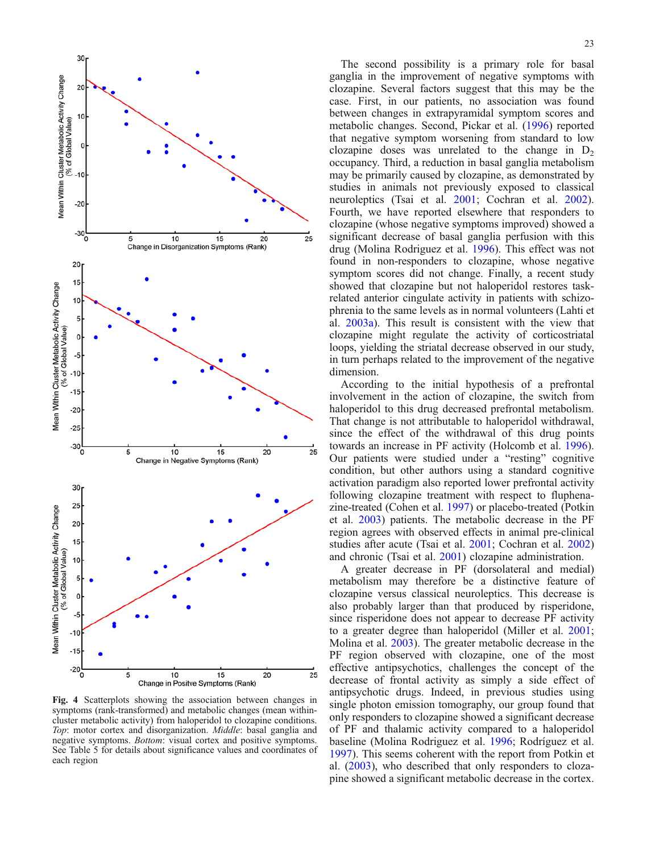<span id="page-6-0"></span>

Fig. 4 Scatterplots showing the association between changes in symptoms (rank-transformed) and metabolic changes (mean withincluster metabolic activity) from haloperidol to clozapine conditions. Top: motor cortex and disorganization. Middle: basal ganglia and negative symptoms. Bottom: visual cortex and positive symptoms. See Table 5 for details about significance values and coordinates of each region

The second possibility is a primary role for basal ganglia in the improvement of negative symptoms with clozapine. Several factors suggest that this may be the case. First, in our patients, no association was found between changes in extrapyramidal symptom scores and metabolic changes. Second, Pickar et al. [\(1996](#page-9-0)) reported that negative symptom worsening from standard to low clozapine doses was unrelated to the change in  $D<sub>2</sub>$ occupancy. Third, a reduction in basal ganglia metabolism may be primarily caused by clozapine, as demonstrated by studies in animals not previously exposed to classical neuroleptics (Tsai et al. [2001;](#page-9-0) Cochran et al. [2002](#page-8-0)). Fourth, we have reported elsewhere that responders to clozapine (whose negative symptoms improved) showed a significant decrease of basal ganglia perfusion with this drug (Molina Rodriguez et al. [1996\)](#page-8-0). This effect was not found in non-responders to clozapine, whose negative symptom scores did not change. Finally, a recent study showed that clozapine but not haloperidol restores taskrelated anterior cingulate activity in patients with schizophrenia to the same levels as in normal volunteers (Lahti et al. [2003a\)](#page-8-0). This result is consistent with the view that clozapine might regulate the activity of corticostriatal loops, yielding the striatal decrease observed in our study, in turn perhaps related to the improvement of the negative dimension.

According to the initial hypothesis of a prefrontal involvement in the action of clozapine, the switch from haloperidol to this drug decreased prefrontal metabolism. That change is not attributable to haloperidol withdrawal, since the effect of the withdrawal of this drug points towards an increase in PF activity (Holcomb et al. [1996](#page-8-0)). Our patients were studied under a "resting" cognitive condition, but other authors using a standard cognitive activation paradigm also reported lower prefrontal activity following clozapine treatment with respect to fluphenazine-treated (Cohen et al. [1997](#page-8-0)) or placebo-treated (Potkin et al. [2003](#page-9-0)) patients. The metabolic decrease in the PF region agrees with observed effects in animal pre-clinical studies after acute (Tsai et al. [2001;](#page-9-0) Cochran et al. [2002\)](#page-8-0) and chronic (Tsai et al. [2001\)](#page-9-0) clozapine administration.

A greater decrease in PF (dorsolateral and medial) metabolism may therefore be a distinctive feature of clozapine versus classical neuroleptics. This decrease is also probably larger than that produced by risperidone, since risperidone does not appear to decrease PF activity to a greater degree than haloperidol (Miller et al. [2001](#page-8-0); Molina et al. [2003\)](#page-8-0). The greater metabolic decrease in the PF region observed with clozapine, one of the most effective antipsychotics, challenges the concept of the decrease of frontal activity as simply a side effect of antipsychotic drugs. Indeed, in previous studies using single photon emission tomography, our group found that only responders to clozapine showed a significant decrease of PF and thalamic activity compared to a haloperidol baseline (Molina Rodriguez et al. [1996;](#page-8-0) Rodríguez et al. [1997](#page-9-0)). This seems coherent with the report from Potkin et al. ([2003\)](#page-9-0), who described that only responders to clozapine showed a significant metabolic decrease in the cortex.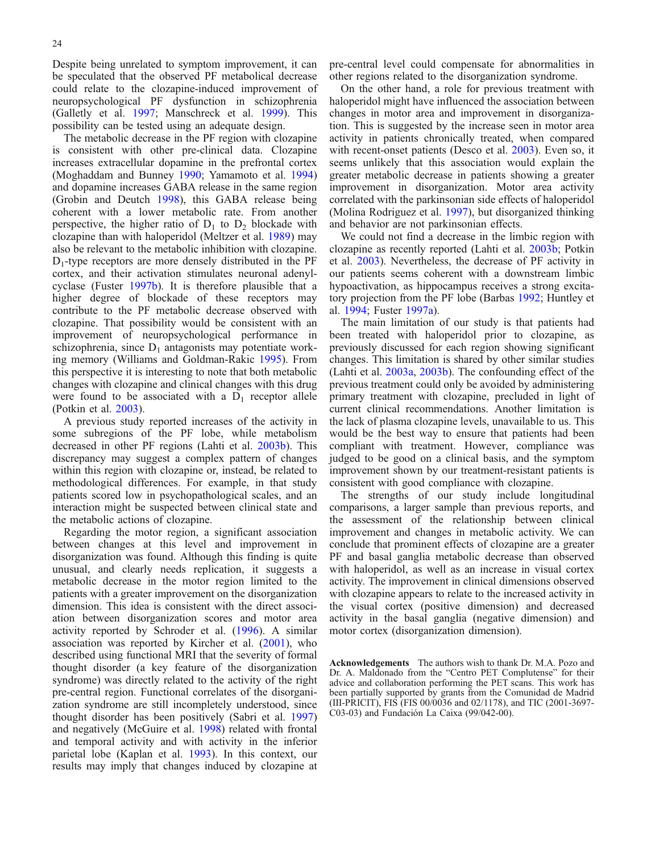Despite being unrelated to symptom improvement, it can be speculated that the observed PF metabolical decrease could relate to the clozapine-induced improvement of neuropsychological PF dysfunction in schizophrenia (Galletly et al. [1997;](#page-8-0) Manschreck et al. [1999](#page-8-0)). This possibility can be tested using an adequate design.

The metabolic decrease in the PF region with clozapine is consistent with other pre-clinical data. Clozapine increases extracellular dopamine in the prefrontal cortex (Moghaddam and Bunney [1990](#page-8-0); Yamamoto et al. [1994\)](#page-9-0) and dopamine increases GABA release in the same region (Grobin and Deutch [1998](#page-8-0)), this GABA release being coherent with a lower metabolic rate. From another perspective, the higher ratio of  $D_1$  to  $D_2$  blockade with clozapine than with haloperidol (Meltzer et al. [1989\)](#page-8-0) may also be relevant to the metabolic inhibition with clozapine.  $D_1$ -type receptors are more densely distributed in the PF cortex, and their activation stimulates neuronal adenylcyclase (Fuster [1997b](#page-8-0)). It is therefore plausible that a higher degree of blockade of these receptors may contribute to the PF metabolic decrease observed with clozapine. That possibility would be consistent with an improvement of neuropsychological performance in schizophrenia, since  $D_1$  antagonists may potentiate working memory (Williams and Goldman-Rakic [1995](#page-9-0)). From this perspective it is interesting to note that both metabolic changes with clozapine and clinical changes with this drug were found to be associated with a  $D_1$  receptor allele (Potkin et al. [2003\)](#page-9-0).

A previous study reported increases of the activity in some subregions of the PF lobe, while metabolism decreased in other PF regions (Lahti et al. [2003b](#page-8-0)). This discrepancy may suggest a complex pattern of changes within this region with clozapine or, instead, be related to methodological differences. For example, in that study patients scored low in psychopathological scales, and an interaction might be suspected between clinical state and the metabolic actions of clozapine.

Regarding the motor region, a significant association between changes at this level and improvement in disorganization was found. Although this finding is quite unusual, and clearly needs replication, it suggests a metabolic decrease in the motor region limited to the patients with a greater improvement on the disorganization dimension. This idea is consistent with the direct association between disorganization scores and motor area activity reported by Schroder et al. [\(1996](#page-9-0)). A similar association was reported by Kircher et al. [\(2001](#page-8-0)), who described using functional MRI that the severity of formal thought disorder (a key feature of the disorganization syndrome) was directly related to the activity of the right pre-central region. Functional correlates of the disorganization syndrome are still incompletely understood, since thought disorder has been positively (Sabri et al. [1997\)](#page-9-0) and negatively (McGuire et al. [1998\)](#page-8-0) related with frontal and temporal activity and with activity in the inferior parietal lobe (Kaplan et al. [1993\)](#page-8-0). In this context, our results may imply that changes induced by clozapine at pre-central level could compensate for abnormalities in other regions related to the disorganization syndrome.

On the other hand, a role for previous treatment with haloperidol might have influenced the association between changes in motor area and improvement in disorganization. This is suggested by the increase seen in motor area activity in patients chronically treated, when compared with recent-onset patients (Desco et al. [2003](#page-8-0)). Even so, it seems unlikely that this association would explain the greater metabolic decrease in patients showing a greater improvement in disorganization. Motor area activity correlated with the parkinsonian side effects of haloperidol (Molina Rodriguez et al. [1997\)](#page-8-0), but disorganized thinking and behavior are not parkinsonian effects.

We could not find a decrease in the limbic region with clozapine as recently reported (Lahti et al. [2003b](#page-8-0); Potkin et al. [2003\)](#page-9-0). Nevertheless, the decrease of PF activity in our patients seems coherent with a downstream limbic hypoactivation, as hippocampus receives a strong excitatory projection from the PF lobe (Barbas [1992;](#page-8-0) Huntley et al. [1994;](#page-8-0) Fuster [1997a\)](#page-8-0).

The main limitation of our study is that patients had been treated with haloperidol prior to clozapine, as previously discussed for each region showing significant changes. This limitation is shared by other similar studies (Lahti et al. [2003a,](#page-8-0) [2003b](#page-8-0)). The confounding effect of the previous treatment could only be avoided by administering primary treatment with clozapine, precluded in light of current clinical recommendations. Another limitation is the lack of plasma clozapine levels, unavailable to us. This would be the best way to ensure that patients had been compliant with treatment. However, compliance was judged to be good on a clinical basis, and the symptom improvement shown by our treatment-resistant patients is consistent with good compliance with clozapine.

The strengths of our study include longitudinal comparisons, a larger sample than previous reports, and the assessment of the relationship between clinical improvement and changes in metabolic activity. We can conclude that prominent effects of clozapine are a greater PF and basal ganglia metabolic decrease than observed with haloperidol, as well as an increase in visual cortex activity. The improvement in clinical dimensions observed with clozapine appears to relate to the increased activity in the visual cortex (positive dimension) and decreased activity in the basal ganglia (negative dimension) and motor cortex (disorganization dimension).

Acknowledgements The authors wish to thank Dr. M.A. Pozo and Dr. A. Maldonado from the "Centro PET Complutense" for their advice and collaboration performing the PET scans. This work has been partially supported by grants from the Comunidad de Madrid (III-PRICIT), FIS (FIS 00/0036 and 02/1178), and TIC (2001-3697- C03-03) and Fundación La Caixa (99/042-00).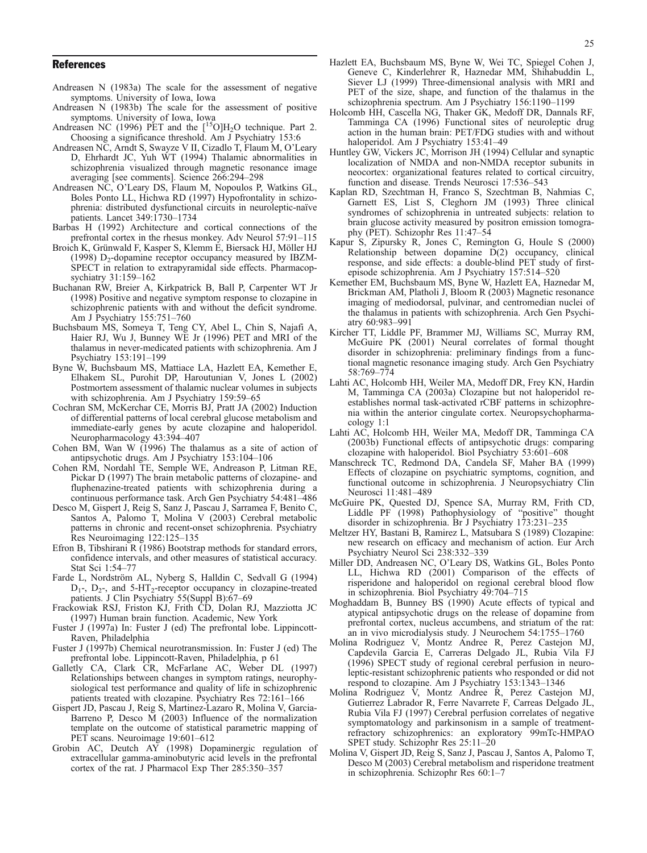- <span id="page-8-0"></span>Andreasen N (1983a) The scale for the assessment of negative symptoms. University of Iowa, Iowa
- Andreasen N (1983b) The scale for the assessment of positive symptoms. University of Iowa, Iowa
- Andreasen NC (1996) PET and the  $[{}^{15}O]H_2O$  technique. Part 2. Choosing a significance threshold. Am J Psychiatry 153:6
- Andreasen NC, Arndt S, Swayze V II, Cizadlo T, Flaum M, O'Leary D, Ehrhardt JC, Yuh WT (1994) Thalamic abnormalities in schizophrenia visualized through magnetic resonance image averaging [see comments]. Science 266:294–298
- Andreasen NC, O'Leary DS, Flaum M, Nopoulos P, Watkins GL, Boles Ponto LL, Hichwa RD (1997) Hypofrontality in schizophrenia: distributed dysfunctional circuits in neuroleptic-naïve patients. Lancet 349:1730–1734
- Barbas H (1992) Architecture and cortical connections of the prefrontal cortex in the rhesus monkey. Adv Neurol 57:91–115
- Broich K, Grünwald F, Kasper S, Klemm E, Biersack HJ, Möller HJ (1998)  $D_2$ -dopamine receptor occupancy measured by IBZM-SPECT in relation to extrapyramidal side effects. Pharmacopsychiatry 31:159–162
- Buchanan RW, Breier A, Kirkpatrick B, Ball P, Carpenter WT Jr (1998) Positive and negative symptom response to clozapine in schizophrenic patients with and without the deficit syndrome. Am J Psychiatry 155:751–760
- Buchsbaum MS, Someya T, Teng CY, Abel L, Chin S, Najafi A, Haier RJ, Wu J, Bunney WE Jr (1996) PET and MRI of the thalamus in never-medicated patients with schizophrenia. Am J Psychiatry 153:191–199
- Byne W, Buchsbaum MS, Mattiace LA, Hazlett EA, Kemether E, Elhakem SL, Purohit DP, Haroutunian V, Jones L (2002) Postmortem assessment of thalamic nuclear volumes in subjects with schizophrenia. Am J Psychiatry 159:59–65
- Cochran SM, McKerchar CE, Morris BJ, Pratt JA (2002) Induction of differential patterns of local cerebral glucose metabolism and immediate-early genes by acute clozapine and haloperidol. Neuropharmacology 43:394–407
- Cohen BM, Wan W (1996) The thalamus as a site of action of antipsychotic drugs. Am J Psychiatry 153:104–106
- Cohen RM, Nordahl TE, Semple WE, Andreason P, Litman RE, Pickar D (1997) The brain metabolic patterns of clozapine- and fluphenazine-treated patients with schizophrenia during a continuous performance task. Arch Gen Psychiatry 54:481–486
- Desco M, Gispert J, Reig S, Sanz J, Pascau J, Sarramea F, Benito C, Santos A, Palomo T, Molina V (2003) Cerebral metabolic patterns in chronic and recent-onset schizophrenia. Psychiatry Res Neuroimaging 122:125–135
- Efron B, Tibshirani R (1986) Bootstrap methods for standard errors, confidence intervals, and other measures of statistical accuracy. Stat Sci 1:54–77
- Farde L, Nordström AL, Nyberg S, Halldin C, Sedvall G (1994)  $D_1$ -,  $D_2$ -, and 5-HT<sub>2</sub>-receptor occupancy in clozapine-treated patients. J Clin Psychiatry 55(Suppl B):67–69
- Frackowiak RSJ, Friston KJ, Frith CD, Dolan RJ, Mazziotta JC (1997) Human brain function. Academic, New York
- Fuster J (1997a) In: Fuster J (ed) The prefrontal lobe. Lippincott-Raven, Philadelphia
- Fuster J (1997b) Chemical neurotransmission. In: Fuster J (ed) The prefrontal lobe. Lippincott-Raven, Philadelphia, p 61
- Galletly CA, Clark CR, McFarlane AC, Weber DL (1997) Relationships between changes in symptom ratings, neurophysiological test performance and quality of life in schizophrenic patients treated with clozapine. Psychiatry Res 72:161–166
- Gispert JD, Pascau J, Reig S, Martinez-Lazaro R, Molina V, Garcia-Barreno P, Desco M (2003) Influence of the normalization template on the outcome of statistical parametric mapping of PET scans. Neuroimage 19:601–612
- Grobin AC, Deutch AY (1998) Dopaminergic regulation of extracellular gamma-aminobutyric acid levels in the prefrontal cortex of the rat. J Pharmacol Exp Ther 285:350–357
- Hazlett EA, Buchsbaum MS, Byne W, Wei TC, Spiegel Cohen J, Geneve C, Kinderlehrer R, Haznedar MM, Shihabuddin L, Siever LJ (1999) Three-dimensional analysis with MRI and PET of the size, shape, and function of the thalamus in the schizophrenia spectrum. Am J Psychiatry 156:1190–1199
- Holcomb HH, Cascella NG, Thaker GK, Medoff DR, Dannals RF, Tamminga CA (1996) Functional sites of neuroleptic drug action in the human brain: PET/FDG studies with and without haloperidol. Am J Psychiatry 153:41–49
- Huntley GW, Vickers JC, Morrison JH (1994) Cellular and synaptic localization of NMDA and non-NMDA receptor subunits in neocortex: organizational features related to cortical circuitry, function and disease. Trends Neurosci 17:536–543
- Kaplan RD, Szechtman H, Franco S, Szechtman B, Nahmias C, Garnett ES, List S, Cleghorn JM (1993) Three clinical syndromes of schizophrenia in untreated subjects: relation to brain glucose activity measured by positron emission tomography (PET). Schizophr Res 11:47–54
- Kapur S, Zipursky R, Jones C, Remington G, Houle S (2000) Relationship between dopamine D(2) occupancy, clinical response, and side effects: a double-blind PET study of firstepisode schizophrenia. Am J Psychiatry 157:514–520
- Kemether EM, Buchsbaum MS, Byne W, Hazlett EA, Haznedar M, Brickman AM, Platholi J, Bloom R (2003) Magnetic resonance imaging of mediodorsal, pulvinar, and centromedian nuclei of the thalamus in patients with schizophrenia. Arch Gen Psychiatry 60:983–991
- Kircher TT, Liddle PF, Brammer MJ, Williams SC, Murray RM, McGuire PK (2001) Neural correlates of formal thought disorder in schizophrenia: preliminary findings from a functional magnetic resonance imaging study. Arch Gen Psychiatry 58:769–774
- Lahti AC, Holcomb HH, Weiler MA, Medoff DR, Frey KN, Hardin M, Tamminga CA (2003a) Clozapine but not haloperidol reestablishes normal task-activated rCBF patterns in schizophrenia within the anterior cingulate cortex. Neuropsychopharmacology 1:1
- Lahti AC, Holcomb HH, Weiler MA, Medoff DR, Tamminga CA (2003b) Functional effects of antipsychotic drugs: comparing clozapine with haloperidol. Biol Psychiatry 53:601–608
- Manschreck TC, Redmond DA, Candela SF, Maher BA (1999) Effects of clozapine on psychiatric symptoms, cognition, and functional outcome in schizophrenia. J Neuropsychiatry Clin Neurosci 11:481–489
- McGuire PK, Quested DJ, Spence SA, Murray RM, Frith CD, Liddle PF (1998) Pathophysiology of "positive" thought disorder in schizophrenia. Br J Psychiatry 173:231–235
- Meltzer HY, Bastani B, Ramirez L, Matsubara S (1989) Clozapine: new research on efficacy and mechanism of action. Eur Arch Psychiatry Neurol Sci 238:332–339
- Miller DD, Andreasen NC, O'Leary DS, Watkins GL, Boles Ponto LL, Hichwa RD (2001) Comparison of the effects of risperidone and haloperidol on regional cerebral blood flow in schizophrenia. Biol Psychiatry 49:704–715
- Moghaddam B, Bunney BS (1990) Acute effects of typical and atypical antipsychotic drugs on the release of dopamine from prefrontal cortex, nucleus accumbens, and striatum of the rat: an in vivo microdialysis study. J Neurochem 54:1755–1760
- Molina Rodriguez V, Montz Andree R, Perez Castejon MJ, Capdevila Garcia E, Carreras Delgado JL, Rubia Vila FJ (1996) SPECT study of regional cerebral perfusion in neuroleptic-resistant schizophrenic patients who responded or did not respond to clozapine. Am J Psychiatry 153:1343–1346
- Molina Rodriguez V, Montz Andree R, Perez Castejon MJ, Gutierrez Labrador R, Ferre Navarrete F, Carreas Delgado JL, Rubia Vila FJ (1997) Cerebral perfusion correlates of negative symptomatology and parkinsonism in a sample of treatmentrefractory schizophrenics: an exploratory 99mTc-HMPAO SPET study. Schizophr Res 25:11–20
- Molina V, Gispert JD, Reig S, Sanz J, Pascau J, Santos A, Palomo T, Desco M (2003) Cerebral metabolism and risperidone treatment in schizophrenia. Schizophr Res 60:1–7